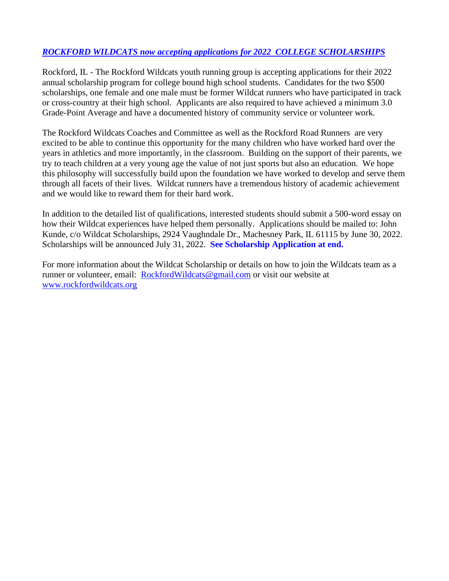## *ROCKFORD WILDCATS now accepting applications for 2022 COLLEGE SCHOLARSHIPS*

Rockford, IL - The Rockford Wildcats youth running group is accepting applications for their 2022 annual scholarship program for college bound high school students. Candidates for the two \$500 scholarships, one female and one male must be former Wildcat runners who have participated in track or cross-country at their high school. Applicants are also required to have achieved a minimum 3.0 Grade-Point Average and have a documented history of community service or volunteer work.

The Rockford Wildcats Coaches and Committee as well as the Rockford Road Runners are very excited to be able to continue this opportunity for the many children who have worked hard over the years in athletics and more importantly, in the classroom. Building on the support of their parents, we try to teach children at a very young age the value of not just sports but also an education. We hope this philosophy will successfully build upon the foundation we have worked to develop and serve them through all facets of their lives. Wildcat runners have a tremendous history of academic achievement and we would like to reward them for their hard work.

In addition to the detailed list of qualifications, interested students should submit a 500-word essay on how their Wildcat experiences have helped them personally. Applications should be mailed to: John Kunde, c/o Wildcat Scholarships, 2924 Vaughndale Dr., Machesney Park, IL 61115 by June 30, 2022. Scholarships will be announced July 31, 2022. **See Scholarship Application at end.**

For more information about the Wildcat Scholarship or details on how to join the Wildcats team as a runner or volunteer, email: [RockfordWildcats@gmail.com](mailto:RockfordWildcats@gmail.com) or visit our website at [www.rockfordwildcats.org](http://www.rockfordwildcats.org/)